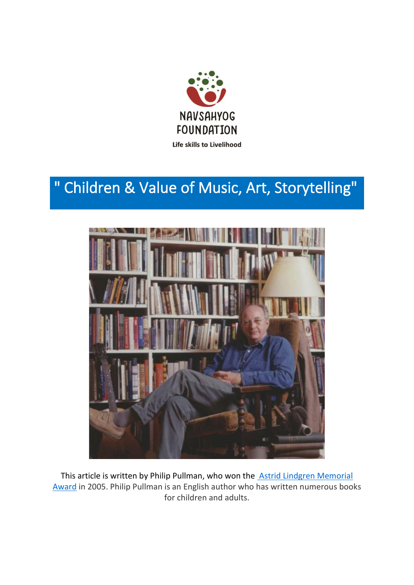

## " Children & Value of Music, Art, Storytelling"



This article is written by Philip Pullman, who won the [Astrid Lindgren Memorial](http://alma.se/en/)  [Award](http://alma.se/en/) in 2005. Philip Pullman is an English author who has written numerous books for children and adults.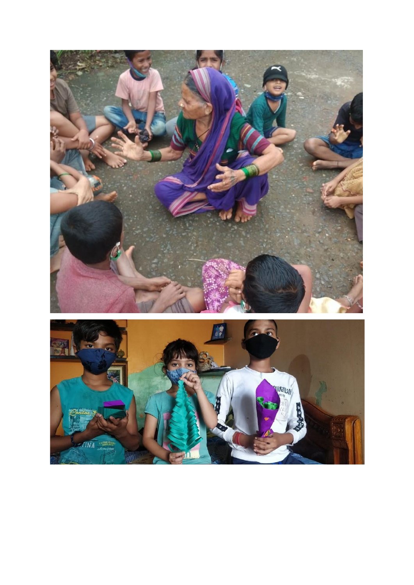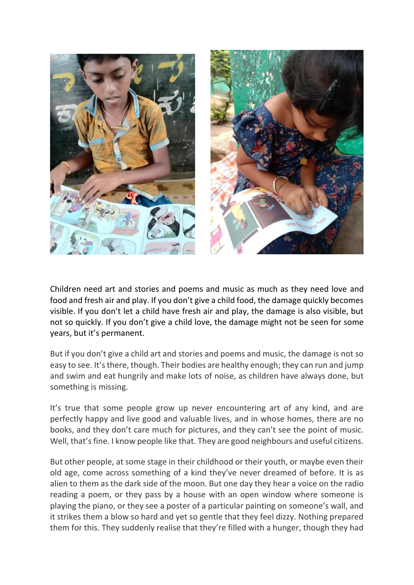

Children need art and stories and poems and music as much as they need love and food and fresh air and play. If you don't give a child food, the damage quickly becomes visible. If you don't let a child have fresh air and play, the damage is also visible, but not so quickly. If you don't give a child love, the damage might not be seen for some years, but it's permanent.

But if you don't give a child art and stories and poems and music, the damage is not so easy to see. It's there, though. Their bodies are healthy enough; they can run and jump and swim and eat hungrily and make lots of noise, as children have always done, but something is missing.

It's true that some people grow up never encountering art of any kind, and are perfectly happy and live good and valuable lives, and in whose homes, there are no books, and they don't care much for pictures, and they can't see the point of music. Well, that's fine. I know people like that. They are good neighbours and useful citizens.

But other people, at some stage in their childhood or their youth, or maybe even their old age, come across something of a kind they've never dreamed of before. It is as alien to them as the dark side of the moon. But one day they hear a voice on the radio reading a poem, or they pass by a house with an open window where someone is playing the piano, or they see a poster of a particular painting on someone's wall, and it strikes them a blow so hard and yet so gentle that they feel dizzy. Nothing prepared them for this. They suddenly realise that they're filled with a hunger, though they had